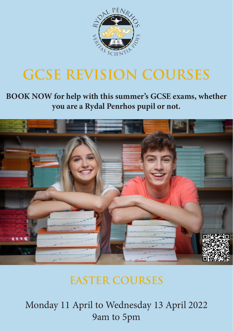

## **GCSE REVISION COURSES**

## **BOOK NOW for help with this summer's GCSE exams, whether you are a Rydal Penrhos pupil or not.**



## **EASTER COURSES**

Monday 11 April to Wednesday 13 April 2022 9am to 5pm